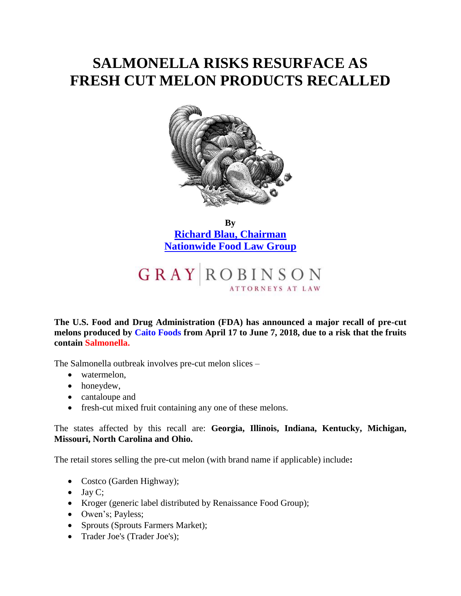## **SALMONELLA RISKS RESURFACE AS FRESH CUT MELON PRODUCTS RECALLED**



**By [Richard Blau, Chairman](http://www.gray-robinson.com/attorneys-professionals/richard-m-blau) [Nationwide Food Law Group](http://www.gray-robinson.com/food-law-practice)**

## **GRAY ROBINSON**

**The U.S. Food and Drug Administration (FDA) has announced a major recall of pre-cut melons produced by Caito Foods from April 17 to June 7, 2018, due to a risk that the fruits contain Salmonella.**

The Salmonella outbreak involves pre-cut melon slices –

- watermelon,
- honeydew,
- cantaloupe and
- fresh-cut mixed fruit containing any one of these melons.

The states affected by this recall are: **Georgia, Illinois, Indiana, Kentucky, Michigan, Missouri, North Carolina and Ohio.**

The retail stores selling the pre-cut melon (with brand name if applicable) include**:**

- Costco (Garden Highway);
- $\bullet$  Jay C;
- Kroger (generic label distributed by Renaissance Food Group);
- Owen's; Payless;
- Sprouts (Sprouts Farmers Market);
- Trader Joe's (Trader Joe's);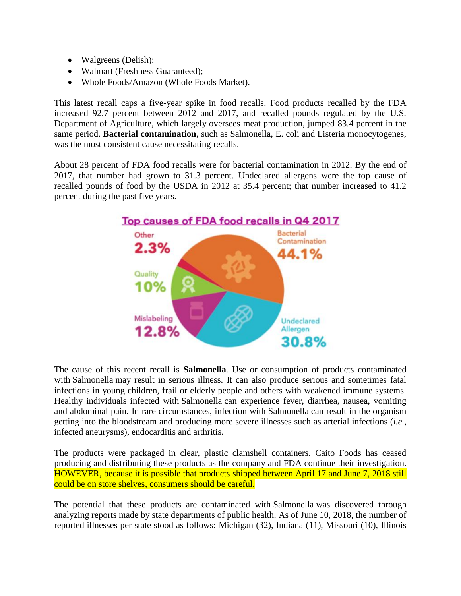- Walgreens (Delish);
- Walmart (Freshness Guaranteed);
- Whole Foods/Amazon (Whole Foods Market).

This latest recall caps a five-year spike in food recalls. Food products recalled by the FDA increased 92.7 percent between 2012 and 2017, and recalled pounds regulated by the U.S. Department of Agriculture, which largely oversees meat production, jumped 83.4 percent in the same period. **Bacterial contamination**, such as Salmonella, E. coli and Listeria monocytogenes, was the most consistent cause necessitating recalls.

About 28 percent of FDA food recalls were for bacterial contamination in 2012. By the end of 2017, that number had grown to 31.3 percent. Undeclared allergens were the top cause of recalled pounds of food by the USDA in 2012 at 35.4 percent; that number increased to 41.2 percent during the past five years.



The cause of this recent recall is **Salmonella**. Use or consumption of products contaminated with Salmonella may result in serious illness. It can also produce serious and sometimes fatal infections in young children, frail or elderly people and others with weakened immune systems. Healthy individuals infected with Salmonella can experience fever, diarrhea, nausea, vomiting and abdominal pain. In rare circumstances, infection with Salmonella can result in the organism getting into the bloodstream and producing more severe illnesses such as arterial infections (*i.e.,* infected aneurysms), endocarditis and arthritis.

The products were packaged in clear, plastic clamshell containers. Caito Foods has ceased producing and distributing these products as the company and FDA continue their investigation. HOWEVER, because it is possible that products shipped between April 17 and June 7, 2018 still could be on store shelves, consumers should be careful.

The potential that these products are contaminated with Salmonella was discovered through analyzing reports made by state departments of public health. As of June 10, 2018, the number of reported illnesses per state stood as follows: Michigan (32), Indiana (11), Missouri (10), Illinois